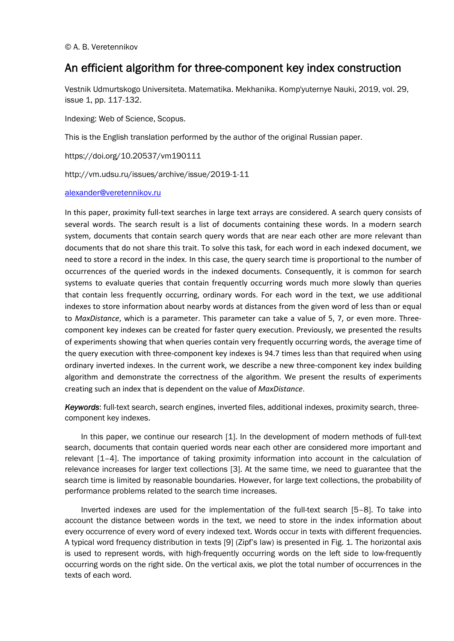# An efficient algorithm for three-component key index construction

Vestnik Udmurtskogo Universiteta. Matematika. Mekhanika. Komp'yuternye Nauki, 2019, vol. 29, issue 1, pp. 117-132.

Indexing: Web of Science, Scopus.

This is the English translation performed by the author of the original Russian paper.

https://doi.org/10.20537/vm190111

http://vm.udsu.ru/issues/archive/issue/2019-1-11

### alexander@veretennikov.ru

In this paper, proximity full-text searches in large text arrays are considered. A search query consists of several words. The search result is a list of documents containing these words. In a modern search system, documents that contain search query words that are near each other are more relevant than documents that do not share this trait. To solve this task, for each word in each indexed document, we need to store a record in the index. In this case, the query search time is proportional to the number of occurrences of the queried words in the indexed documents. Consequently, it is common for search systems to evaluate queries that contain frequently occurring words much more slowly than queries that contain less frequently occurring, ordinary words. For each word in the text, we use additional indexes to store information about nearby words at distances from the given word of less than or equal to *MaxDistance*, which is a parameter. This parameter can take a value of 5, 7, or even more. Threecomponent key indexes can be created for faster query execution. Previously, we presented the results of experiments showing that when queries contain very frequently occurring words, the average time of the query execution with three-component key indexes is 94.7 times less than that required when using ordinary inverted indexes. In the current work, we describe a new three-component key index building algorithm and demonstrate the correctness of the algorithm. We present the results of experiments creating such an index that is dependent on the value of *MaxDistance*.

*Keywords*: full-text search, search engines, inverted files, additional indexes, proximity search, threecomponent key indexes.

In this paper, we continue our research [1]. In the development of modern methods of full-text search, documents that contain queried words near each other are considered more important and relevant [1–4]. The importance of taking proximity information into account in the calculation of relevance increases for larger text collections [3]. At the same time, we need to guarantee that the search time is limited by reasonable boundaries. However, for large text collections, the probability of performance problems related to the search time increases.

Inverted indexes are used for the implementation of the full-text search [5–8]. To take into account the distance between words in the text, we need to store in the index information about every occurrence of every word of every indexed text. Words occur in texts with different frequencies. A typical word frequency distribution in texts [9] (Zipf's law) is presented in Fig. 1. The horizontal axis is used to represent words, with high-frequently occurring words on the left side to low-frequently occurring words on the right side. On the vertical axis, we plot the total number of occurrences in the texts of each word.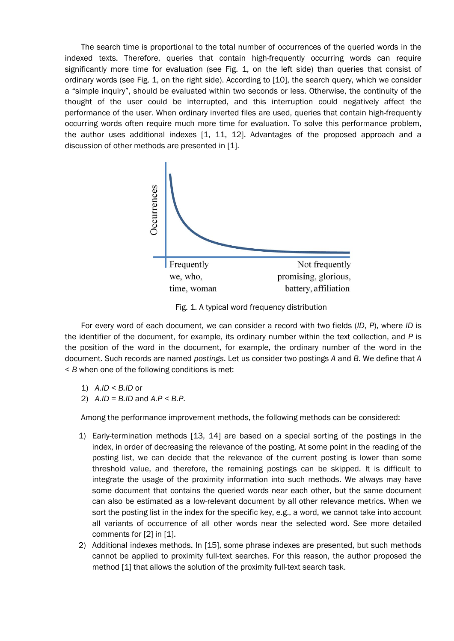The search time is proportional to the total number of occurrences of the queried words in the indexed texts. Therefore, queries that contain high-frequently occurring words can require significantly more time for evaluation (see Fig. 1, on the left side) than queries that consist of ordinary words (see Fig. 1, on the right side). According to [10], the search query, which we consider a "simple inquiry", should be evaluated within two seconds or less. Otherwise, the continuity of the thought of the user could be interrupted, and this interruption could negatively affect the performance of the user. When ordinary inverted files are used, queries that contain high-frequently occurring words often require much more time for evaluation. To solve this performance problem, the author uses additional indexes [1, 11, 12]. Advantages of the proposed approach and a discussion of other methods are presented in [1].



Fig. 1. A typical word frequency distribution

For every word of each document, we can consider a record with two fields (*ID*, *P*), where *ID* is the identifier of the document, for example, its ordinary number within the text collection, and *P* is the position of the word in the document, for example, the ordinary number of the word in the document. Such records are named *postings*. Let us consider two postings *A* and *B*. We define that *A* < *B* when one of the following conditions is met:

- 1) *A.ID < B.ID* or
- 2) *A.ID = B.ID* and *A.P < B.P*.

Among the performance improvement methods, the following methods can be considered:

- 1) Early-termination methods [13, 14] are based on a special sorting of the postings in the index, in order of decreasing the relevance of the posting. At some point in the reading of the posting list, we can decide that the relevance of the current posting is lower than some threshold value, and therefore, the remaining postings can be skipped. It is difficult to integrate the usage of the proximity information into such methods. We always may have some document that contains the queried words near each other, but the same document can also be estimated as a low-relevant document by all other relevance metrics. When we sort the posting list in the index for the specific key, e.g., a word, we cannot take into account all variants of occurrence of all other words near the selected word. See more detailed comments for [2] in [1].
- 2) Additional indexes methods. In [15], some phrase indexes are presented, but such methods cannot be applied to proximity full-text searches. For this reason, the author proposed the method [1] that allows the solution of the proximity full-text search task.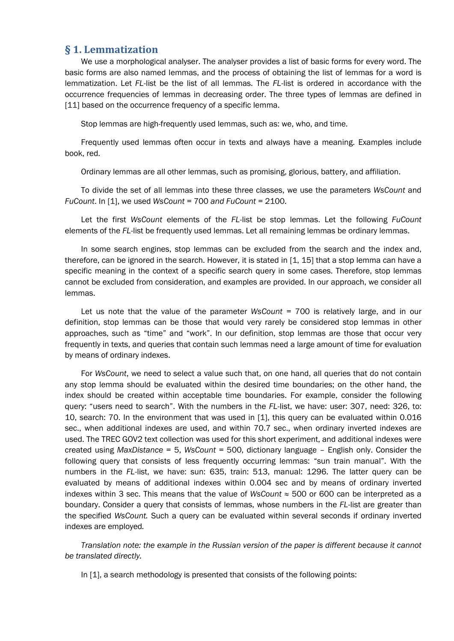# § 1. Lemmatization

We use a morphological analyser. The analyser provides a list of basic forms for every word. The basic forms are also named lemmas, and the process of obtaining the list of lemmas for a word is lemmatization. Let *FL*-list be the list of all lemmas. The *FL*-list is ordered in accordance with the occurrence frequencies of lemmas in decreasing order. The three types of lemmas are defined in [11] based on the occurrence frequency of a specific lemma.

Stop lemmas are high-frequently used lemmas, such as: we, who, and time.

Frequently used lemmas often occur in texts and always have a meaning. Examples include book, red.

Ordinary lemmas are all other lemmas, such as promising, glorious, battery, and affiliation.

To divide the set of all lemmas into these three classes, we use the parameters *WsCount* and *FuCount*. In [1], we used *WsCount =* 700 *and FuCount =* 2100*.*

Let the first *WsCount* elements of the *FL*-list be stop lemmas. Let the following *FuCount* elements of the *FL*-list be frequently used lemmas. Let all remaining lemmas be ordinary lemmas.

In some search engines, stop lemmas can be excluded from the search and the index and, therefore, can be ignored in the search. However, it is stated in [1, 15] that a stop lemma can have a specific meaning in the context of a specific search query in some cases. Therefore, stop lemmas cannot be excluded from consideration, and examples are provided. In our approach, we consider all lemmas.

Let us note that the value of the parameter *WsCount =* 700 is relatively large, and in our definition, stop lemmas can be those that would very rarely be considered stop lemmas in other approaches, such as "time" and "work". In our definition, stop lemmas are those that occur very frequently in texts, and queries that contain such lemmas need a large amount of time for evaluation by means of ordinary indexes.

For *WsCount*, we need to select a value such that, on one hand, all queries that do not contain any stop lemma should be evaluated within the desired time boundaries; on the other hand, the index should be created within acceptable time boundaries. For example, consider the following query: "users need to search". With the numbers in the *FL-*list, we have: user: 307, need: 326, to: 10, search: 70. In the environment that was used in [1], this query can be evaluated within 0.016 sec., when additional indexes are used, and within 70.7 sec., when ordinary inverted indexes are used. The TREC GOV2 text collection was used for this short experiment, and additional indexes were created using *MaxDistance* = 5, *WsCount* = 500, dictionary language – English only. Consider the following query that consists of less frequently occurring lemmas: "sun train manual". With the numbers in the *FL*-list, we have: sun: 635, train: 513, manual: 1296. The latter query can be evaluated by means of additional indexes within 0.004 sec and by means of ordinary inverted indexes within 3 sec. This means that the value of *WsCount* ≈ 500 or 600 can be interpreted as a boundary. Consider a query that consists of lemmas, whose numbers in the *FL*-list are greater than the specified *WsCount.* Such a query can be evaluated within several seconds if ordinary inverted indexes are employed*.*

*Translation note: the example in the Russian version of the paper is different because it cannot be translated directly.*

In [1], a search methodology is presented that consists of the following points: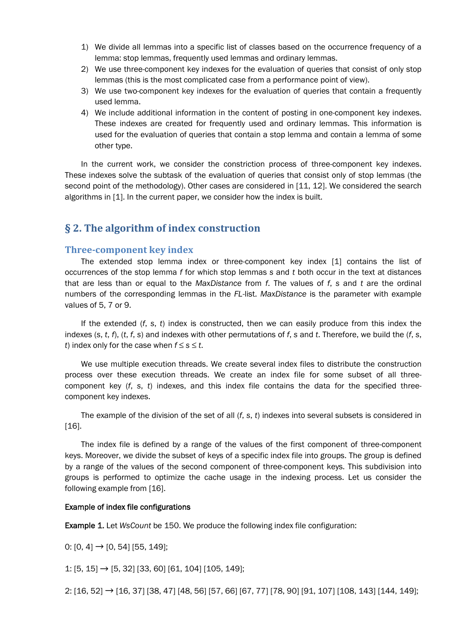- 1) We divide all lemmas into a specific list of classes based on the occurrence frequency of a lemma: stop lemmas, frequently used lemmas and ordinary lemmas.
- 2) We use three-component key indexes for the evaluation of queries that consist of only stop lemmas (this is the most complicated case from a performance point of view).
- 3) We use two-component key indexes for the evaluation of queries that contain a frequently used lemma.
- 4) We include additional information in the content of posting in one-component key indexes. These indexes are created for frequently used and ordinary lemmas. This information is used for the evaluation of queries that contain a stop lemma and contain a lemma of some other type.

In the current work, we consider the constriction process of three-component key indexes. These indexes solve the subtask of the evaluation of queries that consist only of stop lemmas (the second point of the methodology). Other cases are considered in [11, 12]. We considered the search algorithms in [1]. In the current paper, we consider how the index is built.

# § 2. The algorithm of index construction

### Three-component key index

The extended stop lemma index or three-component key index [1] contains the list of occurrences of the stop lemma *f* for which stop lemmas *s* and *t* both occur in the text at distances that are less than or equal to the *MaxDistance* from *f*. The values of *f*, *s* and *t* are the ordinal numbers of the corresponding lemmas in the *FL*-list. *MaxDistance* is the parameter with example values of 5, 7 or 9.

If the extended (*f*, *s*, *t*) index is constructed, then we can easily produce from this index the indexes (*s*, *t*, *f*), (*t*, *f*, *s*) and indexes with other permutations of *f*, *s* and *t*. Therefore, we build the (*f*, *s*, *t*) index only for the case when  $f \leq s \leq t$ .

We use multiple execution threads. We create several index files to distribute the construction process over these execution threads. We create an index file for some subset of all threecomponent key (*f*, *s*, *t*) indexes, and this index file contains the data for the specified threecomponent key indexes.

The example of the division of the set of all (*f*, *s*, *t*) indexes into several subsets is considered in [16].

The index file is defined by a range of the values of the first component of three-component keys. Moreover, we divide the subset of keys of a specific index file into groups. The group is defined by a range of the values of the second component of three-component keys. This subdivision into groups is performed to optimize the cache usage in the indexing process. Let us consider the following example from [16].

### Example of index file configurations

Example 1. Let *WsCount* be 150. We produce the following index file configuration:

0:  $[0, 4] \rightarrow [0, 54]$   $[55, 149]$ ;

1: [5, 15] → [5, 32] [33, 60] [61, 104] [105, 149];

2: [16, 52] → [16, 37] [38, 47] [48, 56] [57, 66] [67, 77] [78, 90] [91, 107] [108, 143] [144, 149];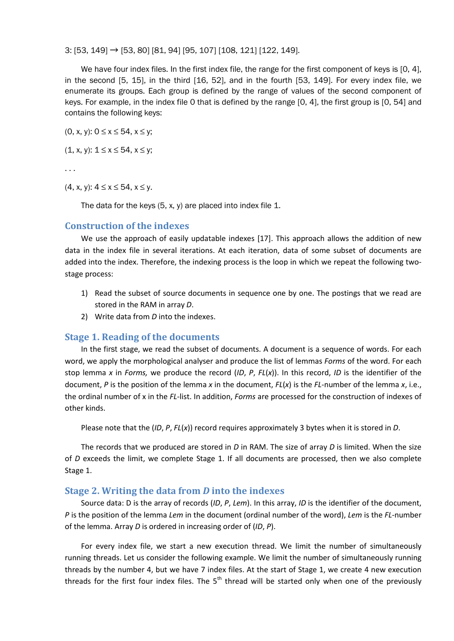3: [53, 149] → [53, 80] [81, 94] [95, 107] [108, 121] [122, 149].

We have four index files. In the first index file, the range for the first component of keys is [0, 4], in the second [5, 15], in the third [16, 52], and in the fourth [53, 149]. For every index file, we enumerate its groups. Each group is defined by the range of values of the second component of keys. For example, in the index file 0 that is defined by the range [0, 4], the first group is [0, 54] and contains the following keys:

(0, x, y):  $0 \le x \le 54$ ,  $x \le y$ ;

 $(1, x, y)$ :  $1 \le x \le 54$ ,  $x \le y$ ;

. . .

 $(4, x, y)$ :  $4 \le x \le 54$ ,  $x \le y$ .

The data for the keys (5, x, y) are placed into index file 1.

#### Construction of the indexes

We use the approach of easily updatable indexes [17]. This approach allows the addition of new data in the index file in several iterations. At each iteration, data of some subset of documents are added into the index. Therefore, the indexing process is the loop in which we repeat the following twostage process:

- 1) Read the subset of source documents in sequence one by one. The postings that we read are stored in the RAM in array *D*.
- 2) Write data from *D* into the indexes.

### Stage 1. Reading of the documents

In the first stage, we read the subset of documents. A document is a sequence of words. For each word, we apply the morphological analyser and produce the list of lemmas *Forms* of the word. For each stop lemma *x* in *Forms,* we produce the record (*ID*, *P*, *FL*(*x*)). In this record, *ID* is the identifier of the document, *P* is the position of the lemma *x* in the document, *FL*(*x*) is the *FL*-number of the lemma *x*, i.e., the ordinal number of x in the *FL*-list. In addition, *Forms* are processed for the construction of indexes of other kinds.

Please note that the (*ID*, *P*, *FL*(*x*)) record requires approximately 3 bytes when it is stored in *D*.

The records that we produced are stored in *D* in RAM. The size of array *D* is limited. When the size of *D* exceeds the limit, we complete Stage 1. If all documents are processed, then we also complete Stage 1.

### Stage 2. Writing the data from *D* into the indexes

Source data: D is the array of records (*ID*, *P*, *Lem*). In this array, *ID* is the identifier of the document, *P* is the position of the lemma *Lem* in the document (ordinal number of the word), *Lem* is the *FL*-number of the lemma. Array *D* is ordered in increasing order of (*ID*, *P*).

For every index file, we start a new execution thread. We limit the number of simultaneously running threads. Let us consider the following example. We limit the number of simultaneously running threads by the number 4, but we have 7 index files. At the start of Stage 1, we create 4 new execution threads for the first four index files. The  $5<sup>th</sup>$  thread will be started only when one of the previously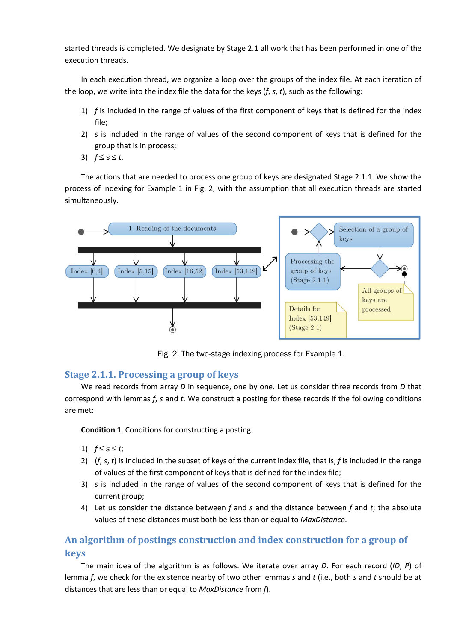started threads is completed. We designate by Stage 2.1 all work that has been performed in one of the execution threads.

In each execution thread, we organize a loop over the groups of the index file. At each iteration of the loop, we write into the index file the data for the keys (*f*, *s*, *t*), such as the following:

- 1) *f* is included in the range of values of the first component of keys that is defined for the index file;
- 2) *s* is included in the range of values of the second component of keys that is defined for the group that is in process;
- 3) *f* ≤ *s* ≤ *t*.

The actions that are needed to process one group of keys are designated Stage 2.1.1. We show the process of indexing for Example 1 in Fig. 2, with the assumption that all execution threads are started simultaneously.



Fig. 2. The two-stage indexing process for Example 1.

# Stage 2.1.1. Processing a group of keys

We read records from array *D* in sequence, one by one. Let us consider three records from *D* that correspond with lemmas *f*, *s* and *t*. We construct a posting for these records if the following conditions are met:

Condition 1. Conditions for constructing a posting.

- 1)  $f \leq s \leq t$ ;
- 2) (*f*, *s*, *t*) is included in the subset of keys of the current index file, that is, *f* is included in the range of values of the first component of keys that is defined for the index file;
- 3) *s* is included in the range of values of the second component of keys that is defined for the current group;
- 4) Let us consider the distance between *f* and *s* and the distance between *f* and *t*; the absolute values of these distances must both be less than or equal to *MaxDistance*.

# An algorithm of postings construction and index construction for a group of keys

The main idea of the algorithm is as follows. We iterate over array *D*. For each record (*ID*, *P*) of lemma *f*, we check for the existence nearby of two other lemmas *s* and *t* (i.e., both *s* and *t* should be at distances that are less than or equal to *MaxDistance* from *f*).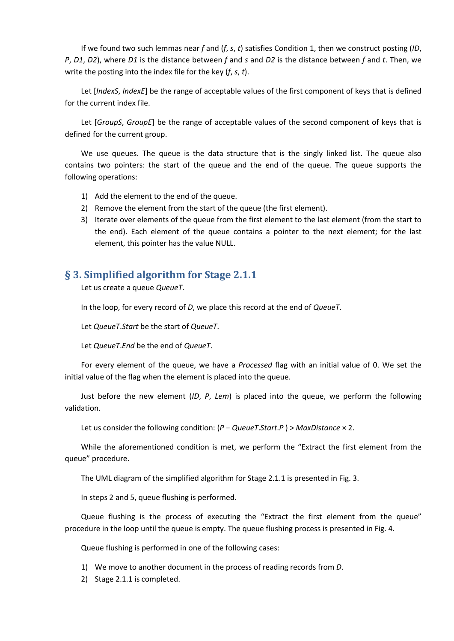If we found two such lemmas near *f* and (*f*, *s*, *t*) satisfies Condition 1, then we construct posting (*ID*, *P*, *D1*, *D2*), where *D1* is the distance between *f* and *s* and *D2* is the distance between *f* and *t*. Then, we write the posting into the index file for the key (*f*, *s*, *t*).

Let [*IndexS*, *IndexE*] be the range of acceptable values of the first component of keys that is defined for the current index file.

Let [*GroupS*, *GroupE*] be the range of acceptable values of the second component of keys that is defined for the current group.

We use queues. The queue is the data structure that is the singly linked list. The queue also contains two pointers: the start of the queue and the end of the queue. The queue supports the following operations:

- 1) Add the element to the end of the queue.
- 2) Remove the element from the start of the queue (the first element).
- 3) Iterate over elements of the queue from the first element to the last element (from the start to the end). Each element of the queue contains a pointer to the next element; for the last element, this pointer has the value NULL.

# § 3. Simplified algorithm for Stage 2.1.1

Let us create a queue *QueueT*.

In the loop, for every record of *D*, we place this record at the end of *QueueT*.

Let *QueueT*.*Start* be the start of *QueueT*.

Let *QueueT*.*End* be the end of *QueueT*.

For every element of the queue, we have a *Processed* flag with an initial value of 0. We set the initial value of the flag when the element is placed into the queue.

Just before the new element (*ID*, *P*, *Lem*) is placed into the queue, we perform the following validation.

Let us consider the following condition: (*P* − *QueueT*.*Start*.*P* ) > *MaxDistance* × 2.

While the aforementioned condition is met, we perform the "Extract the first element from the queue" procedure.

The UML diagram of the simplified algorithm for Stage 2.1.1 is presented in Fig. 3.

In steps 2 and 5, queue flushing is performed.

Queue flushing is the process of executing the "Extract the first element from the queue" procedure in the loop until the queue is empty. The queue flushing process is presented in Fig. 4.

Queue flushing is performed in one of the following cases:

- 1) We move to another document in the process of reading records from *D*.
- 2) Stage 2.1.1 is completed.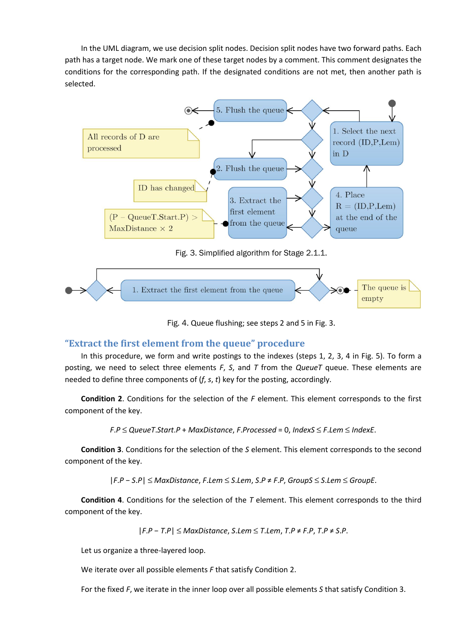In the UML diagram, we use decision split nodes. Decision split nodes have two forward paths. Each path has a target node. We mark one of these target nodes by a comment. This comment designates the conditions for the corresponding path. If the designated conditions are not met, then another path is selected.





Fig. 4. Queue flushing; see steps 2 and 5 in Fig. 3.

# "Extract the first element from the queue" procedure

In this procedure, we form and write postings to the indexes (steps 1, 2, 3, 4 in Fig. 5). To form a posting, we need to select three elements *F*, *S*, and *T* from the *QueueT* queue. These elements are needed to define three components of (*f*, *s*, *t*) key for the posting, accordingly.

Condition 2. Conditions for the selection of the *F* element. This element corresponds to the first component of the key.

*F*.*P* ≤ *QueueT*.*Start*.*P* + *MaxDistance*, *F*.*Processed* = 0, *IndexS* ≤ *F*.*Lem* ≤ *IndexE*.

Condition 3. Conditions for the selection of the *S* element. This element corresponds to the second component of the key.

|*F*.*P* − *S*.*P*| ≤ *MaxDistance*, *F*.*Lem* ≤ *S*.*Lem*, *S*.*P* ≠ *F*.*P*, *GroupS* ≤ *S*.*Lem* ≤ *GroupE*.

Condition 4. Conditions for the selection of the *T* element. This element corresponds to the third component of the key.

|*F*.*P* − *T*.*P*| ≤ *MaxDistance*, *S*.*Lem* ≤ *T*.*Lem*, *T*.*P* ≠ *F*.*P*, *T*.*P* ≠ *S*.*P*.

Let us organize a three-layered loop.

We iterate over all possible elements *F* that satisfy Condition 2.

For the fixed *F*, we iterate in the inner loop over all possible elements *S* that satisfy Condition 3.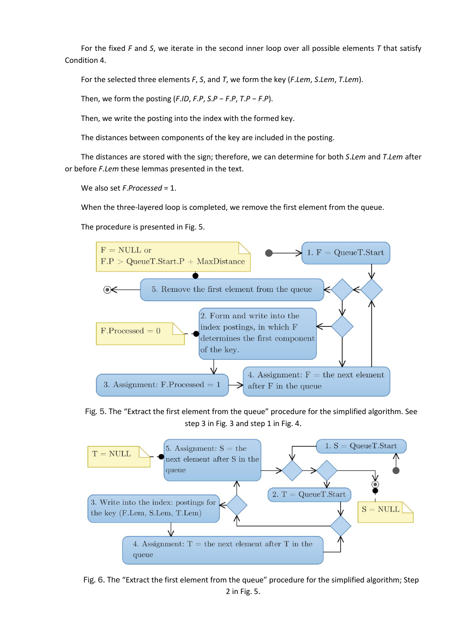For the fixed *F* and *S*, we iterate in the second inner loop over all possible elements *T* that satisfy Condition 4.

For the selected three elements *F*, *S*, and *T*, we form the key (*F*.*Lem*, *S*.*Lem*, *T*.*Lem*).

Then, we form the posting (*F*.*ID*, *F*.*P*, *S*.*P* − *F*.*P*, *T*.*P* − *F*.*P*).

Then, we write the posting into the index with the formed key.

The distances between components of the key are included in the posting.

The distances are stored with the sign; therefore, we can determine for both *S*.*Lem* and *T*.*Lem* after or before *F*.*Lem* these lemmas presented in the text.

We also set *F*.*Processed* = 1.

When the three-layered loop is completed, we remove the first element from the queue.

The procedure is presented in Fig. 5.



Fig. 5. The "Extract the first element from the queue" procedure for the simplified algorithm. See step 3 in Fig. 3 and step 1 in Fig. 4.



Fig. 6. The "Extract the first element from the queue" procedure for the simplified algorithm; Step 2 in Fig. 5.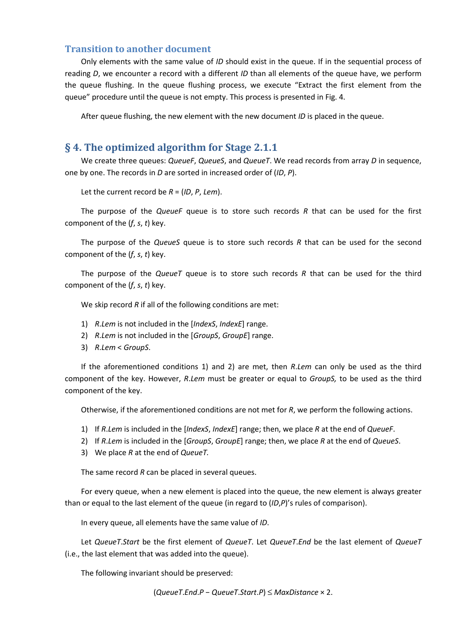# Transition to another document

Only elements with the same value of *ID* should exist in the queue. If in the sequential process of reading *D*, we encounter a record with a different *ID* than all elements of the queue have, we perform the queue flushing. In the queue flushing process, we execute "Extract the first element from the queue" procedure until the queue is not empty. This process is presented in Fig. 4.

After queue flushing, the new element with the new document *ID* is placed in the queue.

# § 4. The optimized algorithm for Stage 2.1.1

We create three queues: *QueueF*, *QueueS*, and *QueueT*. We read records from array *D* in sequence, one by one. The records in *D* are sorted in increased order of (*ID*, *P*).

Let the current record be *R* = (*ID*, *P*, *Lem*).

The purpose of the *QueueF* queue is to store such records *R* that can be used for the first component of the (*f*, *s*, *t*) key.

The purpose of the *QueueS* queue is to store such records *R* that can be used for the second component of the (*f*, *s*, *t*) key.

The purpose of the *QueueT* queue is to store such records *R* that can be used for the third component of the (*f*, *s*, *t*) key.

We skip record *R* if all of the following conditions are met:

- 1) *R*.*Lem* is not included in the [*IndexS*, *IndexE*] range.
- 2) *R*.*Lem* is not included in the [*GroupS*, *GroupE*] range.
- 3) *R*.*Lem* < *GroupS*.

If the aforementioned conditions 1) and 2) are met, then *R*.*Lem* can only be used as the third component of the key. However, *R*.*Lem* must be greater or equal to *GroupS,* to be used as the third component of the key.

Otherwise, if the aforementioned conditions are not met for *R*, we perform the following actions.

- 1) If *R*.*Lem* is included in the [*IndexS*, *IndexE*] range; then, we place *R* at the end of *QueueF*.
- 2) If *R*.*Lem* is included in the [*GroupS*, *GroupE*] range; then, we place *R* at the end of *QueueS*.
- 3) We place *R* at the end of *QueueT.*

The same record *R* can be placed in several queues.

For every queue, when a new element is placed into the queue, the new element is always greater than or equal to the last element of the queue (in regard to (*ID*,*P*)'s rules of comparison).

In every queue, all elements have the same value of *ID*.

Let *QueueT*.*Start* be the first element of *QueueT*. Let *QueueT*.*End* be the last element of *QueueT* (i.e., the last element that was added into the queue).

The following invariant should be preserved:

```
(QueueT.End.P − QueueT.Start.P) ≤ MaxDistance × 2.
```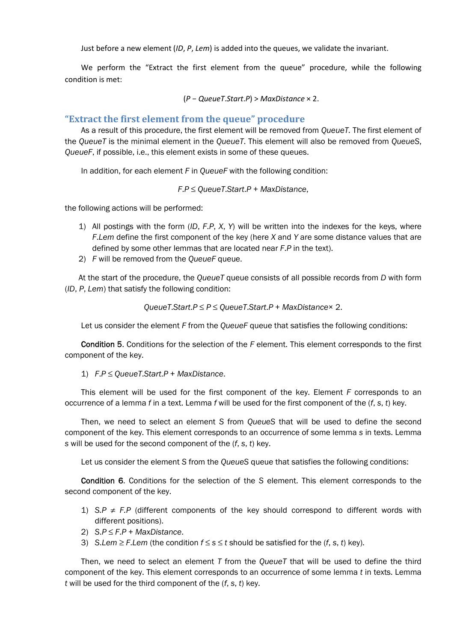Just before a new element (*ID*, *P*, *Lem*) is added into the queues, we validate the invariant.

We perform the "Extract the first element from the queue" procedure, while the following condition is met:

(*P* − *QueueT*.*Start*.*P*) > *MaxDistance* × 2.

### "Extract the first element from the queue" procedure

As a result of this procedure, the first element will be removed from *QueueT.* The first element of the *QueueT* is the minimal element in the *QueueT*. This element will also be removed from *QueueS*, *QueueF*, if possible, i.e., this element exists in some of these queues.

In addition, for each element *F* in *QueueF* with the following condition:

*F*.*P* ≤ *QueueT*.*Start*.*P* + *MaxDistance*,

the following actions will be performed:

- 1) All postings with the form (*ID*, *F*.*P*, *X*, *Y*) will be written into the indexes for the keys, where *F*.*Lem* define the first component of the key (here *X* and *Y* are some distance values that are defined by some other lemmas that are located near *F*.*P* in the text).
- 2) *F* will be removed from the *QueueF* queue.

At the start of the procedure, the *QueueT* queue consists of all possible records from *D* with form (*ID*, *P*, *Lem*) that satisfy the following condition:

*QueueT*.*Start*.*P* ≤ *P* ≤ *QueueT*.*Start*.*P* + *MaxDistance*× 2.

Let us consider the element *F* from the *QueueF* queue that satisfies the following conditions:

Condition 5. Conditions for the selection of the *F* element. This element corresponds to the first component of the key.

1) *F*.*P* ≤ *QueueT*.*Start*.*P* + *MaxDistance*.

This element will be used for the first component of the key. Element *F* corresponds to an occurrence of a lemma *f* in a text. Lemma *f* will be used for the first component of the (*f*, *s*, *t*) key.

Then, we need to select an element *S* from *QueueS* that will be used to define the second component of the key. This element corresponds to an occurrence of some lemma *s* in texts. Lemma *s* will be used for the second component of the (*f*, *s*, *t*) key.

Let us consider the element *S* from the *QueueS* queue that satisfies the following conditions:

Condition 6. Conditions for the selection of the *S* element. This element corresponds to the second component of the key.

- 1) *S.P ≠ F.P* (different components of the key should correspond to different words with different positions).
- 2) *S*.*P* ≤ *F*.*P* + *MaxDistance*.
- 3) S.*Lem*  $\geq$  *F.Lem* (the condition  $f \leq s \leq t$  should be satisfied for the  $(f, s, t)$  key).

Then, we need to select an element *T* from the *QueueT* that will be used to define the third component of the key. This element corresponds to an occurrence of some lemma *t* in texts. Lemma *t* will be used for the third component of the (*f*, *s*, *t*) key.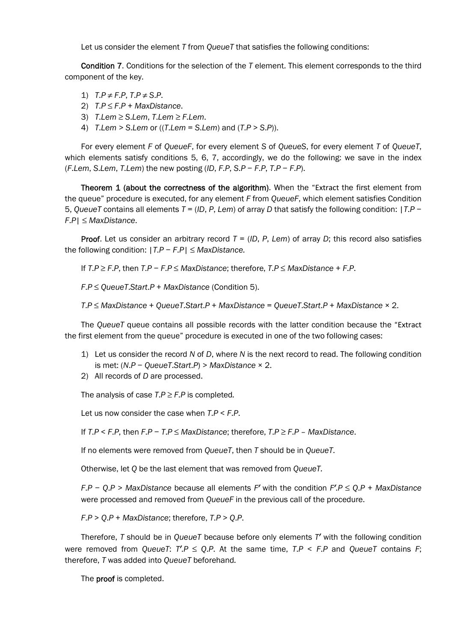Let us consider the element *T* from *QueueT* that satisfies the following conditions:

Condition 7. Conditions for the selection of the *T* element. This element corresponds to the third component of the key.

- 1)  $T.P \neq F.P$ ,  $T.P \neq S.P$ .
- 2) *T*.*P* ≤ *F*.*P* + *MaxDistance*.
- 3) *T*.*Lem* ≥ *S*.*Lem*, *T*.*Lem* ≥ *F*.*Lem*.
- 4) *T*.*Lem* > *S*.*Lem* or ((*T*.*Lem* = *S*.*Lem*) and (*T*.*P* > *S*.*P*)).

For every element *F* of *QueueF*, for every element *S* of *QueueS*, for every element *T* of *QueueT*, which elements satisfy conditions 5, 6, 7, accordingly, we do the following: we save in the index (*F*.*Lem*, *S*.*Lem*, *T*.*Lem*) the new posting (*ID*, *F*.*P*, *S*.*P* − *F*.*P*, *T*.*P* − *F*.*P*).

Theorem 1 (about the correctness of the algorithm). When the "Extract the first element from the queue" procedure is executed, for any element *F* from *QueueF*, which element satisfies Condition 5, *QueueT* contains all elements *T* = (*ID*, *P*, *Lem*) of array *D* that satisfy the following condition: |*T*.*P* − *F*.*P*| ≤ *MaxDistance*.

**Proof.** Let us consider an arbitrary record  $T = (ID, P, Lem)$  of array D; this record also satisfies the following condition: |*T*.*P* − *F*.*P*| ≤ *MaxDistance.*

If *T*.*P* ≥ *F*.*P*, then *T*.*P* − *F*.*P* ≤ *MaxDistance*; therefore, *T*.*P* ≤ *MaxDistance* + *F*.*P*.

*F*.*P* ≤ *QueueT*.*Start*.*P* + *MaxDistance* (Condition 5).

*T*.*P* ≤ *MaxDistance* + *QueueT*.*Start*.*P* + *MaxDistance* = *QueueT*.*Start*.*P* + *MaxDistance* × 2.

The *QueueT* queue contains all possible records with the latter condition because the "Extract the first element from the queue" procedure is executed in one of the two following cases:

- 1) Let us consider the record *N* of *D*, where *N* is the next record to read. The following condition is met: (*N*.*P* − *QueueT*.*Start*.*P*) > *MaxDistance* × 2.
- 2) All records of *D* are processed.

The analysis of case  $T.P \geq F.P$  is completed.

Let us now consider the case when *T*.*P* < *F*.*P*.

If *T*.*P* < *F*.*P*, then *F*.*P* − *T*.*P* ≤ *MaxDistance*; therefore, *T*.*P* ≥ *F*.*P* – *MaxDistance*.

If no elements were removed from *QueueT*, then *T* should be in *QueueT*.

Otherwise, let *Q* be the last element that was removed from *QueueT.*

*F*.*P* − *Q*.*P* > *MaxDistance* because all elements *F′* with the condition *F′*.*P* ≤ *Q*.*P* + *MaxDistance* were processed and removed from *QueueF* in the previous call of the procedure.

*F*.*P* > *Q*.*P* + *MaxDistance*; therefore, *T*.*P* > *Q*.*P*.

Therefore, *T* should be in *QueueT* because before only elements *T′* with the following condition were removed from *QueueT*:  $T'$ . *P*  $\leq$  *Q.P.* At the same time,  $T$ . *P*  $\leq$  *F.P* and *QueueT* contains *F*; therefore, *T* was added into *QueueT* beforehand*.*

The **proof** is completed.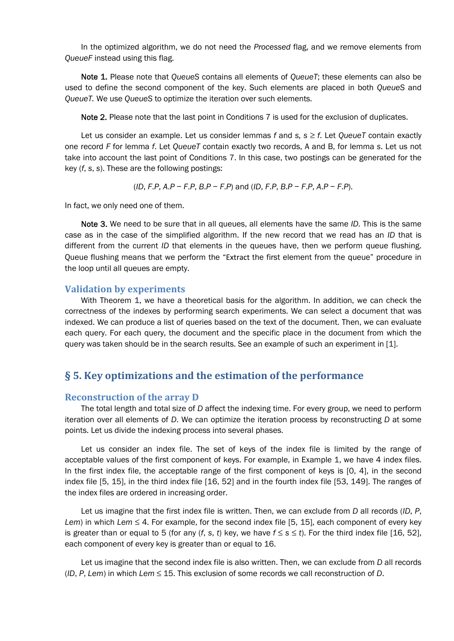In the optimized algorithm, we do not need the *Processed* flag, and we remove elements from *QueueF* instead using this flag.

Note 1. Please note that *QueueS* contains all elements of *QueueT*; these elements can also be used to define the second component of the key. Such elements are placed in both *QueueS* and *QueueT.* We use *QueueS* to optimize the iteration over such elements.

Note 2. Please note that the last point in Conditions 7 is used for the exclusion of duplicates.

Let us consider an example. Let us consider lemmas *f* and *s, s* ≥ *f*. Let *QueueT* contain exactly one record *F* for lemma *f*. Let *QueueT* contain exactly two records, A and B, for lemma *s*. Let us not take into account the last point of Conditions 7. In this case, two postings can be generated for the key (*f*, *s*, *s*). These are the following postings:

$$
(ID, F.P, A.P - F.P, B.P - F.P)
$$
 and  $(ID, F.P, B.P - F.P, A.P - F.P)$ .

In fact, we only need one of them.

Note 3. We need to be sure that in all queues, all elements have the same *ID*. This is the same case as in the case of the simplified algorithm. If the new record that we read has an *ID* that is different from the current *ID* that elements in the queues have, then we perform queue flushing. Queue flushing means that we perform the "Extract the first element from the queue" procedure in the loop until all queues are empty.

#### Validation by experiments

With Theorem 1, we have a theoretical basis for the algorithm. In addition, we can check the correctness of the indexes by performing search experiments. We can select a document that was indexed. We can produce a list of queries based on the text of the document. Then, we can evaluate each query. For each query, the document and the specific place in the document from which the query was taken should be in the search results. See an example of such an experiment in [1].

# § 5. Key optimizations and the estimation of the performance

#### Reconstruction of the array D

The total length and total size of *D* affect the indexing time. For every group, we need to perform iteration over all elements of *D*. We can optimize the iteration process by reconstructing *D* at some points. Let us divide the indexing process into several phases.

Let us consider an index file. The set of keys of the index file is limited by the range of acceptable values of the first component of keys. For example, in Example 1, we have 4 index files. In the first index file, the acceptable range of the first component of keys is [0, 4], in the second index file [5, 15], in the third index file [16, 52] and in the fourth index file [53, 149]. The ranges of the index files are ordered in increasing order.

Let us imagine that the first index file is written. Then, we can exclude from *D* all records (*ID*, *P*, *Lem*) in which *Lem*  $\leq$  4. For example, for the second index file [5, 15], each component of every key is greater than or equal to 5 (for any  $(f, s, t)$  key, we have  $f \le s \le t$ ). For the third index file [16, 52], each component of every key is greater than or equal to 16.

Let us imagine that the second index file is also written. Then, we can exclude from *D* all records (*ID*, *P*, *Lem*) in which *Lem* ≤ 15. This exclusion of some records we call reconstruction of *D*.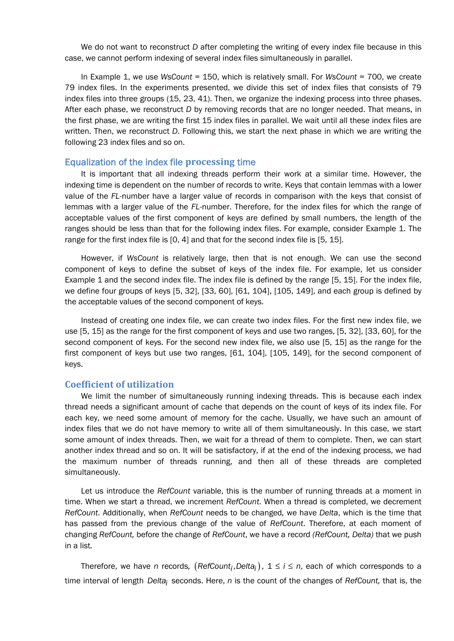We do not want to reconstruct *D* after completing the writing of every index file because in this case, we cannot perform indexing of several index files simultaneously in parallel.

In Example 1, we use *WsCount* = 150, which is relatively small. For *WsCount =* 700, we create 79 index files. In the experiments presented, we divide this set of index files that consists of 79 index files into three groups (15, 23, 41). Then, we organize the indexing process into three phases. After each phase, we reconstruct *D* by removing records that are no longer needed. That means, in the first phase, we are writing the first 15 index files in parallel. We wait until all these index files are written. Then, we reconstruct *D*. Following this, we start the next phase in which we are writing the following 23 index files and so on.

### Equalization of the index file processing time

It is important that all indexing threads perform their work at a similar time. However, the indexing time is dependent on the number of records to write. Keys that contain lemmas with a lower value of the *FL*-number have a larger value of records in comparison with the keys that consist of lemmas with a larger value of the *FL*-number. Therefore, for the index files for which the range of acceptable values of the first component of keys are defined by small numbers, the length of the ranges should be less than that for the following index files. For example, consider Example 1. The range for the first index file is [0, 4] and that for the second index file is [5, 15].

However, if *WsCount* is relatively large, then that is not enough. We can use the second component of keys to define the subset of keys of the index file. For example, let us consider Example 1 and the second index file. The index file is defined by the range [5, 15]. For the index file, we define four groups of keys [5, 32], [33, 60], [61, 104], [105, 149], and each group is defined by the acceptable values of the second component of keys.

Instead of creating one index file, we can create two index files. For the first new index file, we use [5, 15] as the range for the first component of keys and use two ranges, [5, 32], [33, 60], for the second component of keys. For the second new index file, we also use [5, 15] as the range for the first component of keys but use two ranges, [61, 104], [105, 149], for the second component of keys.

### Coefficient of utilization

We limit the number of simultaneously running indexing threads. This is because each index thread needs a significant amount of cache that depends on the count of keys of its index file. For each key, we need some amount of memory for the cache. Usually, we have such an amount of index files that we do not have memory to write all of them simultaneously. In this case, we start some amount of index threads. Then, we wait for a thread of them to complete. Then, we can start another index thread and so on. It will be satisfactory, if at the end of the indexing process, we had the maximum number of threads running, and then all of these threads are completed simultaneously.

Let us introduce the *RefCount* variable, this is the number of running threads at a moment in time. When we start a thread, we increment *RefCount*. When a thread is completed, we decrement *RefCount*. Additionally, when *RefCount* needs to be changed*,* we have *Delta*, which is the time that has passed from the previous change of the value of *RefCount*. Therefore, at each moment of changing *RefCount,* before the change of *RefCount*, we have a record *(RefCount, Delta)* that we push in a list*.*

Therefore, we have *n* records,  $(RefCount_i, Delta_i)$ ,  $1 \le i \le n$ , each of which corresponds to a time interval of length *Deltai* seconds. Here, *n* is the count of the changes of *RefCount,* that is, the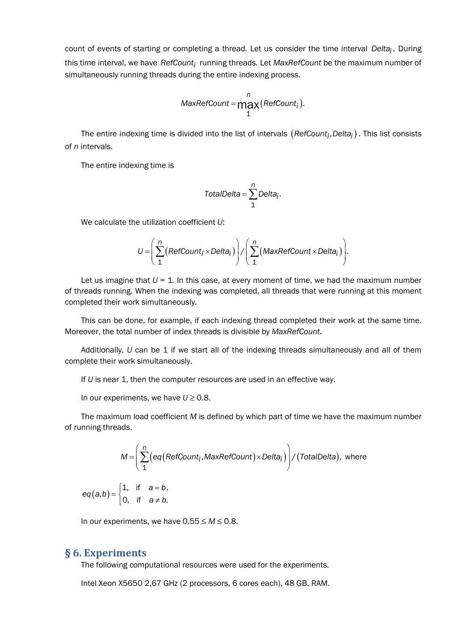count of events of starting or completing a thread*.* Let us consider the time interval *Deltai .* During this time interval, we have *RefCounti* running threads*.* Let *MaxRefCount* be the maximum number of simultaneously running threads during the entire indexing process.

$$
MaxRefCount = \underset{1}{\underset{1}{\text{max}}} \left( \underset{1}{RefCount_i} \right).
$$

The entire indexing time is divided into the list of intervals  $(RefCount_i, Delta_i)$ . This list consists of *n* intervals.

The entire indexing time is

$$
TotalDelta = \sum_{1}^{n} Delta_{i}.
$$

We calculate the utilization coefficient *U*:

$$
U = \left(\sum_{1}^{n} \left(\text{RefCount}_i \times \text{Delta}_i\right)\right) / \left(\sum_{1}^{n} \left(\text{MaxRefCount} \times \text{Delta}_i\right)\right).
$$

Let us imagine that  $U = 1$ . In this case, at every moment of time, we had the maximum number of threads running. When the indexing was completed, all threads that were running at this moment completed their work simultaneously.

This can be done, for example, if each indexing thread completed their work at the same time. Moreover, the total number of index threads is divisible by *MaxRefCount.*

Additionally, *U* can be 1 if we start all of the indexing threads simultaneously and all of them complete their work simultaneously.

If *U* is near 1, then the computer resources are used in an effective way.

In our experiments, we have *U* ≥ 0.8.

The maximum load coefficient *M* is defined by which part of time we have the maximum number of running threads.

$$
M = \left(\sum_{1}^{n} \Big(eq\big(RefCount_i, MaxRefCount\big) \times Delta_i\big)\right) / \big(TotalDelta\big), \text{ where}
$$

 $(a,b) = \begin{cases} 1, & \text{if } a = b, \\ 0, & \text{if } a \neq b. \end{cases}$  $eq(a,b) = \begin{cases} 1, & \text{if } a = b \\ 0, & \text{if } a \neq b \end{cases}$ 

In our experiments, we have  $0.55 \leq M \leq 0.8$ .

# § 6. Experiments

The following computational resources were used for the experiments.

Intel Xeon X5650 2,67 GHz (2 processors, 6 cores each), 48 GB. RAM.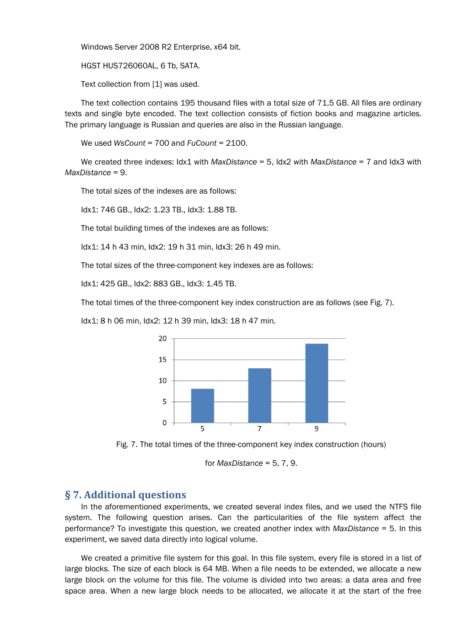Windows Server 2008 R2 Enterprise, x64 bit.

HGST HUS726060AL, 6 Tb, SATA.

Text collection from [1] was used.

The text collection contains 195 thousand files with a total size of 71.5 GB. All files are ordinary texts and single byte encoded. The text collection consists of fiction books and magazine articles. The primary language is Russian and queries are also in the Russian language.

We used *WsCount* = 700 and *FuCount* = 2100.

We created three indexes: Idx1 with *MaxDistance* = 5, Idx2 with *MaxDistance* = 7 and Idx3 with *MaxDistance* = 9.

The total sizes of the indexes are as follows:

Idx1: 746 GB., Idx2: 1.23 TB., Idx3: 1.88 TB.

The total building times of the indexes are as follows:

Idx1: 14 h 43 min, Idx2: 19 h 31 min, Idx3: 26 h 49 min.

The total sizes of the three-component key indexes are as follows:

Idx1: 425 GB., Idx2: 883 GB., Idx3: 1.45 TB.

The total times of the three-component key index construction are as follows (see Fig. 7).

Idx1: 8 h 06 min, Idx2: 12 h 39 min, Idx3: 18 h 47 min.



Fig. 7. The total times of the three-component key index construction (hours)

for *MaxDistance* = 5, 7, 9.

# § 7. Additional questions

In the aforementioned experiments, we created several index files, and we used the NTFS file system. The following question arises. Can the particularities of the file system affect the performance? To investigate this question, we created another index with *MaxDistance* = 5. In this experiment, we saved data directly into logical volume.

We created a primitive file system for this goal. In this file system, every file is stored in a list of large blocks. The size of each block is 64 MB. When a file needs to be extended, we allocate a new large block on the volume for this file. The volume is divided into two areas: a data area and free space area. When a new large block needs to be allocated, we allocate it at the start of the free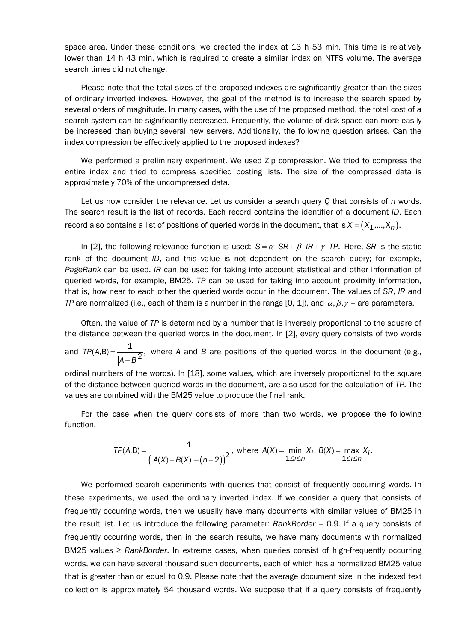space area. Under these conditions, we created the index at 13 h 53 min. This time is relatively lower than 14 h 43 min, which is required to create a similar index on NTFS volume. The average search times did not change.

Please note that the total sizes of the proposed indexes are significantly greater than the sizes of ordinary inverted indexes. However, the goal of the method is to increase the search speed by several orders of magnitude. In many cases, with the use of the proposed method, the total cost of a search system can be significantly decreased. Frequently, the volume of disk space can more easily be increased than buying several new servers. Additionally, the following question arises. Can the index compression be effectively applied to the proposed indexes?

We performed a preliminary experiment. We used Zip compression. We tried to compress the entire index and tried to compress specified posting lists. The size of the compressed data is approximately 70% of the uncompressed data.

Let us now consider the relevance. Let us consider a search query *Q* that consists of *n* words. The search result is the list of records. Each record contains the identifier of a document *ID*. Each record also contains a list of positions of queried words in the document, that is  $X = (X_1, ..., X_n)$ .

In [2], the following relevance function is used:  $S = \alpha \cdot SR + \beta \cdot IR + \gamma \cdot TP$ . Here, *SR* is the static rank of the document *ID*, and this value is not dependent on the search query; for example, *PageRank* can be used. *IR* can be used for taking into account statistical and other information of queried words, for example, BM25. *TP* can be used for taking into account proximity information, that is, how near to each other the queried words occur in the document. The values of *SR*, *IR* and *TP* are normalized (i.e., each of them is a number in the range [0, 1]), and  $\alpha$ ,  $\beta$ ,  $\gamma$  – are parameters.

Often, the value of *TP* is determined by a number that is inversely proportional to the square of the distance between the queried words in the document. In [2], every query consists of two words

and  $TP(A,B) = \frac{1}{|A-B|^2}$  $TP(A,B) = \frac{1}{2}$ *A B* where *A* and *B* are positions of the queried words in the document (e.g.,

ordinal numbers of the words). In [18], some values, which are inversely proportional to the square of the distance between queried words in the document, are also used for the calculation of *TP*. The values are combined with the BM25 value to produce the final rank.

For the case when the query consists of more than two words, we propose the following function.

$$
TP(A,B) = \frac{1}{(|A(X) - B(X)| - (n-2))^{2}}, \text{ where } A(X) = \min_{1 \le i \le n} X_{i}, B(X) = \max_{1 \le i \le n} X_{i}.
$$

We performed search experiments with queries that consist of frequently occurring words. In these experiments, we used the ordinary inverted index. If we consider a query that consists of frequently occurring words, then we usually have many documents with similar values of BM25 in the result list. Let us introduce the following parameter: *RankBorder* = 0.9. If a query consists of frequently occurring words, then in the search results, we have many documents with normalized BM25 values ≥ *RankBorder*. In extreme cases, when queries consist of high-frequently occurring words, we can have several thousand such documents, each of which has a normalized BM25 value that is greater than or equal to 0.9. Please note that the average document size in the indexed text collection is approximately 54 thousand words. We suppose that if a query consists of frequently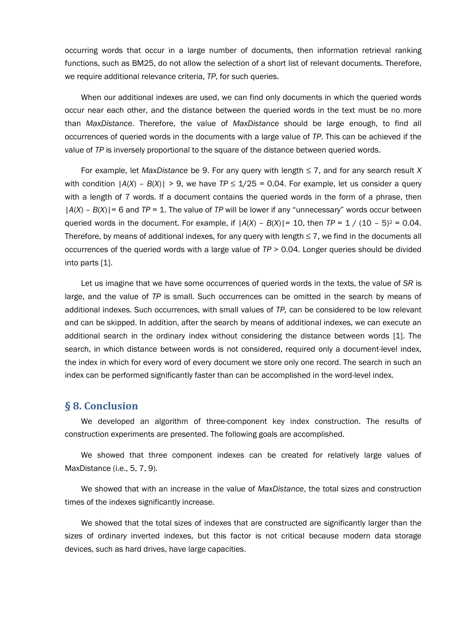occurring words that occur in a large number of documents, then information retrieval ranking functions, such as BM25, do not allow the selection of a short list of relevant documents. Therefore, we require additional relevance criteria, *TP*, for such queries.

When our additional indexes are used, we can find only documents in which the queried words occur near each other, and the distance between the queried words in the text must be no more than *MaxDistance*. Therefore, the value of *MaxDistance* should be large enough, to find all occurrences of queried words in the documents with a large value of *TP*. This can be achieved if the value of *TP* is inversely proportional to the square of the distance between queried words.

For example, let *MaxDistance* be 9. For any query with length ≤ 7, and for any search result *X* with condition  $|A(X) - B(X)| > 9$ , we have  $TP \le 1/25 = 0.04$ . For example, let us consider a query with a length of 7 words. If a document contains the queried words in the form of a phrase, then |*A*(*X*) – *B*(*X*)|= 6 and *TP* = 1. The value of *TP* will be lower if any "unnecessary" words occur between queried words in the document. For example, if  $|A(X) - B(X)| = 10$ , then  $TP = 1 / (10 - 5)^2 = 0.04$ . Therefore, by means of additional indexes, for any query with length  $\leq 7$ , we find in the documents all occurrences of the queried words with a large value of *TP* > 0.04. Longer queries should be divided into parts [1].

Let us imagine that we have some occurrences of queried words in the texts, the value of *SR* is large, and the value of *TP* is small. Such occurrences can be omitted in the search by means of additional indexes. Such occurrences, with small values of *TP,* can be considered to be low relevant and can be skipped. In addition, after the search by means of additional indexes, we can execute an additional search in the ordinary index without considering the distance between words [1]. The search, in which distance between words is not considered, required only a document-level index, the index in which for every word of every document we store only one record. The search in such an index can be performed significantly faster than can be accomplished in the word-level index.

## § 8. Conclusion

We developed an algorithm of three-component key index construction. The results of construction experiments are presented. The following goals are accomplished.

We showed that three component indexes can be created for relatively large values of MaxDistance (i.e., 5, 7, 9).

We showed that with an increase in the value of *MaxDistance*, the total sizes and construction times of the indexes significantly increase.

We showed that the total sizes of indexes that are constructed are significantly larger than the sizes of ordinary inverted indexes, but this factor is not critical because modern data storage devices, such as hard drives, have large capacities.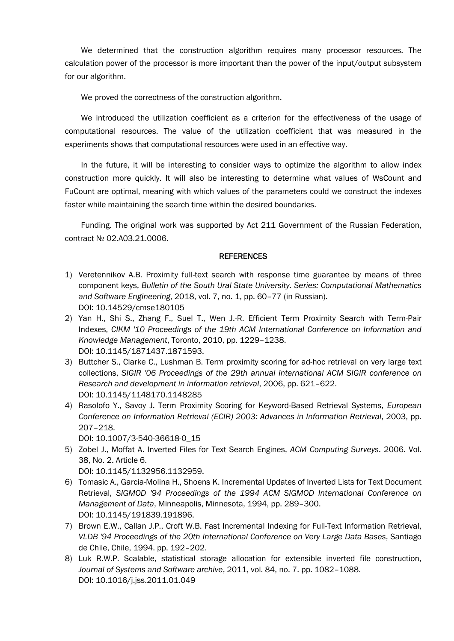We determined that the construction algorithm requires many processor resources. The calculation power of the processor is more important than the power of the input/output subsystem for our algorithm.

We proved the correctness of the construction algorithm.

We introduced the utilization coefficient as a criterion for the effectiveness of the usage of computational resources. The value of the utilization coefficient that was measured in the experiments shows that computational resources were used in an effective way.

In the future, it will be interesting to consider ways to optimize the algorithm to allow index construction more quickly. It will also be interesting to determine what values of WsCount and FuCount are optimal, meaning with which values of the parameters could we construct the indexes faster while maintaining the search time within the desired boundaries.

Funding. The original work was supported by Act 211 Government of the Russian Federation, contract № 02.A03.21.0006.

### **REFERENCES**

- 1) Veretennikov A.B. Proximity full-text search with response time guarantee by means of three component keys, *Bulletin of the South Ural State University. Series: Computational Mathematics* and Software Engineering, 2018, vol. 7, no. 1, pp. 60–77 (in Russian). DOI: 10.14529/cmse180105
- 2) Yan H., Shi S., Zhang F., Suel T., Wen J.-R. Efficient Term Proximity Search with Term-Pair Indexes, *CIKM '10 Proceedings of the 19th ACM International Conference on Information and Knowledge Management*, Toronto, 2010, pp. 1229–1238. DOI: 10.1145/1871437.1871593.
- 3) Buttcher S., Clarke C., Lushman B. Term proximity scoring for ad-hoc retrieval on very large text collections, *SIGIR '06 Proceedings of the 29th annual international ACM SIGIR conference on Research and development in information retrieval*, 2006, pp. 621–622. DOI: 10.1145/1148170.1148285
- 4) Rasolofo Y., Savoy J. Term Proximity Scoring for Keyword-Based Retrieval Systems, *European Conference on Information Retrieval (ECIR) 2003: Advances in Information Retrieval*, 2003, pp. 207–218.

DOI: 10.1007/3-540-36618-0\_15

5) Zobel J., Moffat A. Inverted Files for Text Search Engines, *ACM Computing Surveys*. 2006. Vol. 38, No. 2. Article 6.

DOI: 10.1145/1132956.1132959.

- 6) Tomasic A., Garcia-Molina H., Shoens K. Incremental Updates of Inverted Lists for Text Document Retrieval, *SIGMOD '94 Proceedings of the 1994 ACM SIGMOD International Conference on Management of Data*, Minneapolis, Minnesota, 1994, pp. 289–300. DOI: 10.1145/191839.191896.
- 7) Brown E.W., Callan J.P., Croft W.B. Fast Incremental Indexing for Full-Text Information Retrieval, *VLDB '94 Proceedings of the 20th International Conference on Very Large Data Bases*, Santiago de Chile, Chile, 1994. pp. 192–202.
- 8) Luk R.W.P. Scalable, statistical storage allocation for extensible inverted file construction, *Journal of Systems and Software archive*, 2011, vol. 84, no. 7. pp. 1082–1088. DOI: 10.1016/j.jss.2011.01.049